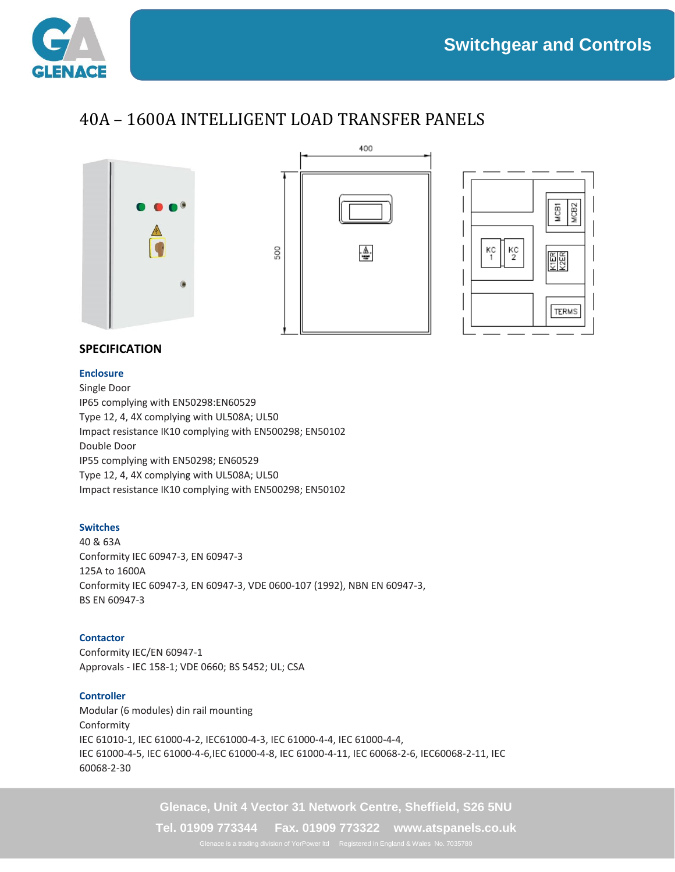

## 40A – 1600A INTELLIGENT LOAD TRANSFER PANELS







### **SPECIFICATION**

#### **Enclosure**

Single Door IP65 complying with EN50298:EN60529 Type 12, 4, 4X complying with UL508A; UL50 Impact resistance IK10 complying with EN500298; EN50102 Double Door IP55 complying with EN50298; EN60529 Type 12, 4, 4X complying with UL508A; UL50 Impact resistance IK10 complying with EN500298; EN50102

#### **Switches**

40 & 63A Conformity IEC 60947-3, EN 60947-3 125A to 1600A Conformity IEC 60947-3, EN 60947-3, VDE 0600-107 (1992), NBN EN 60947-3, BS EN 60947-3

#### **Contactor**

Conformity IEC/EN 60947-1 Approvals - IEC 158-1; VDE 0660; BS 5452; UL; CSA

#### **Controller**

Modular (6 modules) din rail mounting Conformity IEC 61010-1, IEC 61000-4-2, IEC61000-4-3, IEC 61000-4-4, IEC 61000-4-4, IEC 61000-4-5, IEC 61000-4-6,IEC 61000-4-8, IEC 61000-4-11, IEC 60068-2-6, IEC60068-2-11, IEC 60068-2-30

**Glenace, Unit 4 Vector 31 Network Centre, Sheffield, S26 5NU**